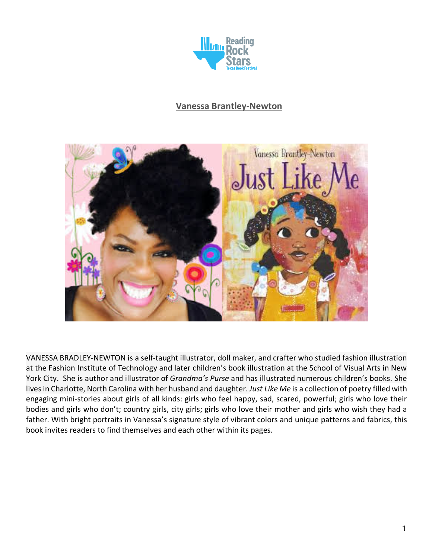

## **Vanessa Brantley-Newton**



VANESSA BRADLEY-NEWTON is a self-taught illustrator, doll maker, and crafter who studied fashion illustration at the Fashion Institute of Technology and later children's book illustration at the School of Visual Arts in New York City. She is author and illustrator of *Grandma's Purse* and has illustrated numerous children's books. She lives in Charlotte, North Carolina with her husband and daughter. *Just Like Me* is a collection of poetry filled with engaging mini-stories about girls of all kinds: girls who feel happy, sad, scared, powerful; girls who love their bodies and girls who don't; country girls, city girls; girls who love their mother and girls who wish they had a father. With bright portraits in Vanessa's signature style of vibrant colors and unique patterns and fabrics, this book invites readers to find themselves and each other within its pages.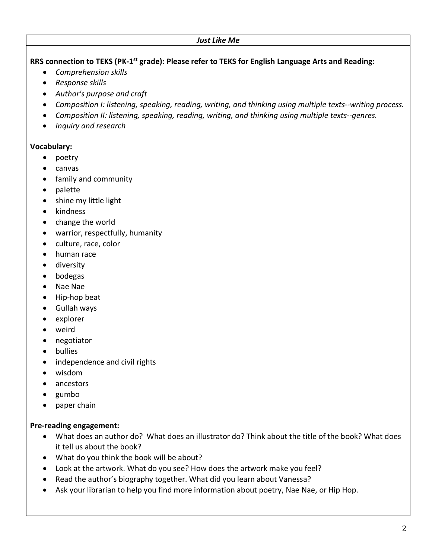**RRS connection to TEKS (PK-1st grade): Please refer to TEKS for English Language Arts and Reading:**

- *Comprehension skills*
- *Response skills*
- *Author's purpose and craft*
- *Composition I: listening, speaking, reading, writing, and thinking using multiple texts--writing process.*
- *Composition II: listening, speaking, reading, writing, and thinking using multiple texts--genres.*
- *Inquiry and research*

### **Vocabulary:**

- poetry
- canvas
- family and community
- palette
- shine my little light
- kindness
- change the world
- warrior, respectfully, humanity
- culture, race, color
- human race
- diversity
- bodegas
- Nae Nae
- Hip-hop beat
- Gullah ways
- explorer
- weird
- negotiator
- bullies
- independence and civil rights
- wisdom
- ancestors
- gumbo
- paper chain

#### **Pre-reading engagement:**

- What does an author do? What does an illustrator do? Think about the title of the book? What does it tell us about the book?
- What do you think the book will be about?
- Look at the artwork. What do you see? How does the artwork make you feel?
- Read the author's biography together. What did you learn about Vanessa?
- Ask your librarian to help you find more information about poetry, Nae Nae, or Hip Hop.